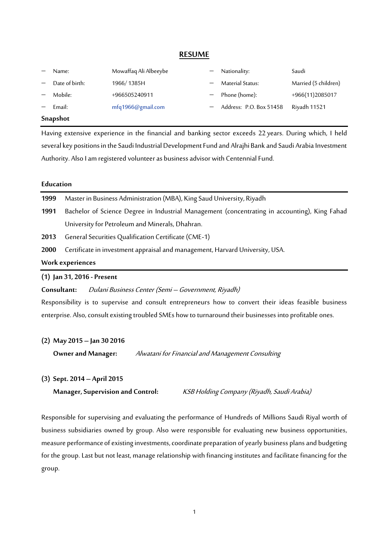#### **RESUME**

| Name:          | Mowaffaq Ali Albeeybe | $-$ Nationality:          | Saudi                |
|----------------|-----------------------|---------------------------|----------------------|
| Date of birth: | 1966/1385H            | Material Status:          | Married (5 children) |
| Mobile:        | +966505240911         | - Phone (home):           | +966(11)2085017      |
| Email:         | mfq1966@gmail.com     | - Address: P.O. Box 51458 | Riyadh 11521         |
|                |                       |                           |                      |

#### **Snapshot**

Having extensive experience in the financial and banking sector exceeds 22 years. During which, I held several key positions in the Saudi Industrial Development Fund and Alrajhi Bank and Saudi Arabia Investment Authority. Also I am registered volunteer as business advisor with Centennial Fund.

#### **Education**

|                  | $(1)$ Jan 31, 2016 - Present                                                                  |  |  |  |  |  |
|------------------|-----------------------------------------------------------------------------------------------|--|--|--|--|--|
| Work experiences |                                                                                               |  |  |  |  |  |
| <b>2000</b>      | Certificate in investment appraisal and management, Harvard University, USA.                  |  |  |  |  |  |
| 2013             | General Securities Qualification Certificate (CME-1)                                          |  |  |  |  |  |
|                  | University for Petroleum and Minerals, Dhahran.                                               |  |  |  |  |  |
| 1991             | Bachelor of Science Degree in Industrial Management (concentrating in accounting), King Fahad |  |  |  |  |  |
| 1999             | Master in Business Administration (MBA), King Saud University, Riyadh                         |  |  |  |  |  |

**Consultant:** Dulani Business Center (Semi – Government, Riyadh)

Responsibility is to supervise and consult entrepreneurs how to convert their ideas feasible business enterprise. Also, consult existing troubled SMEs how to turnaround their businesses into profitable ones.

#### **(2) May 2015 – Jan 30 2016**

**Owner and Manager:** Alwatani for Financial and Management Consulting

#### **(3) Sept. 2014 – April 2015**

**Manager, Supervision and Control:** KSB Holding Company (Riyadh, Saudi Arabia)

Responsible for supervising and evaluating the performance of Hundreds of Millions Saudi Riyal worth of business subsidiaries owned by group. Also were responsible for evaluating new business opportunities, measure performance of existing investments, coordinate preparation of yearly business plans and budgeting for the group. Last but not least, manage relationship with financing institutes and facilitate financing for the group.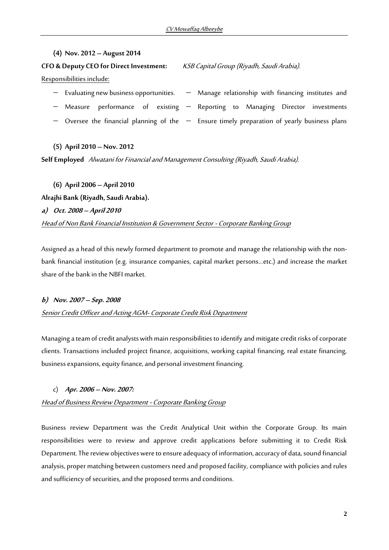## **(4) Nov. 2012 – August 2014**

**CFO & Deputy CEO for Direct Investment:** KSB Capital Group (Riyadh, Saudi Arabia). Responsibilities include:

 $-$  Evaluating new business opportunities.  $-$  Manage relationship with financing institutes and - Measure performance of existing - Reporting to Managing Director investments - Oversee the financial planning of the - Ensure timely preparation of yearly business plans

#### **(5) April 2010 – Nov. 2012**

**Self Employed** Alwatani for Financial and Management Consulting(Riyadh, Saudi Arabia).

**(6) April 2006 – April 2010 Alrajhi Bank (Riyadh, Saudi Arabia). a) Oct. 2008 – April 2010** Head of Non Bank Financial Institution & Government Sector - Corporate Banking Group

Assigned as a head of this newly formed department to promote and manage the relationship with the nonbank financial institution (e.g. insurance companies, capital market persons…etc.) and increase the market share of the bank in the NBFI market.

## **b) Nov. 2007 – Sep. 2008**

#### Senior Credit Officer and Acting AGM- Corporate Credit Risk Department

Managing a team of credit analysts with main responsibilities to identify and mitigate credit risks of corporate clients. Transactions included project finance, acquisitions, working capital financing, real estate financing, business expansions, equity finance, and personal investment financing.

#### c) **Apr. 2006 – Nov. 2007:**

## Head of Business Review Department - Corporate Banking Group

Business review Department was the Credit Analytical Unit within the Corporate Group. Its main responsibilities were to review and approve credit applications before submitting it to Credit Risk Department. The review objectives were to ensure adequacy of information, accuracy of data, sound financial analysis, proper matching between customers need and proposed facility, compliance with policies and rules and sufficiency of securities, and the proposed terms and conditions.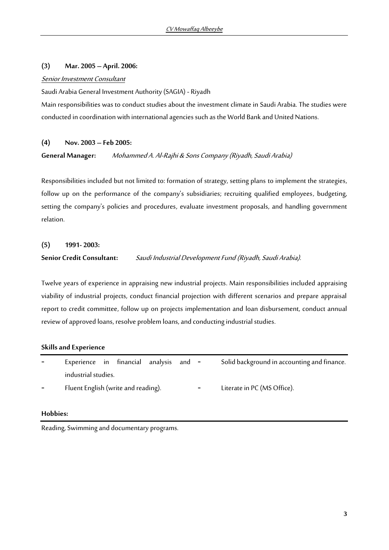## **(3) Mar. 2005 – April. 2006:**

#### Senior Investment Consultant

Saudi Arabia General Investment Authority (SAGIA) - Riyadh

Main responsibilities was to conduct studies about the investment climate in Saudi Arabia. The studies were conducted in coordination with international agencies such as the World Bank and United Nations.

## **(4) Nov. 2003 – Feb 2005:**

## **General Manager:** Mohammed A. Al-Rajhi & Sons Company (Riyadh, Saudi Arabia)

Responsibilities included but not limited to: formation of strategy, setting plans to implement the strategies, follow up on the performance of the company's subsidiaries; recruiting qualified employees, budgeting, setting the company's policies and procedures, evaluate investment proposals, and handling government relation.

# **(5) 1991- 2003: Senior Credit Consultant:** Saudi Industrial Development Fund (Riyadh, Saudi Arabia).

Twelve years of experience in appraising new industrial projects. Main responsibilities included appraising viability of industrial projects, conduct financial projection with different scenarios and prepare appraisal report to credit committee, follow up on projects implementation and loan disbursement, conduct annual review of approved loans, resolve problem loans, and conducting industrial studies.

## **Skills and Experience**

|                          | Experience in financial analysis and - |  |  |  |  |                          | Solid background in accounting and finance. |
|--------------------------|----------------------------------------|--|--|--|--|--------------------------|---------------------------------------------|
|                          | industrial studies.                    |  |  |  |  |                          |                                             |
| $\overline{\phantom{a}}$ | Fluent English (write and reading).    |  |  |  |  | $\overline{\phantom{a}}$ | Literate in PC (MS Office).                 |

## **Hobbies:**

Reading, Swimming and documentary programs.